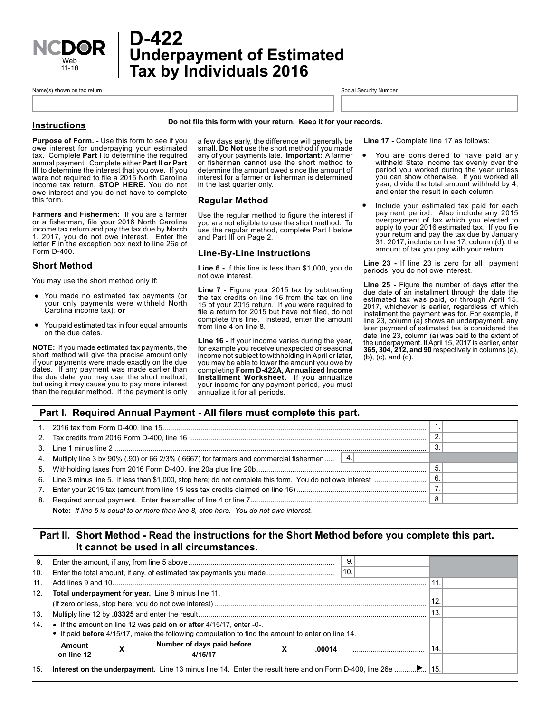

# **Underpayment of Estimated Tax by Individuals 2016 D-422**

Name(s) shown on tax return state of the state of the state of the state of the state of the Social Security Number

#### **Instructions**

**Do not file this form with your return. Keep it for your records.**

**Purpose of Form. -** Use this form to see if you owe interest for underpaying your estimated tax. Complete **Part I** to determine the required annual payment. Complete either **Part II or Part III** to determine the interest that you owe. If you were not required to file a 2015 North Carolina income tax return, **STOP HERE.** You do not owe interest and you do not have to complete this form.

**Farmers and Fishermen:** If you are a farmer or a fisherman, file your 2016 North Carolina income tax return and pay the tax due by March 1, 2017, you do not owe interest. Enter the letter **F** in the exception box next to line 26e of Form D-400.

#### **Short Method**

You may use the short method only if:

- You made no estimated tax payments (or your only payments were withheld North your only payments were withheld North Carolina income tax); **or**
- You paid estimated tax in four equal amounts on the due dates.

**NOTE:** If you made estimated tax payments, the short method will give the precise amount only if your payments were made exactly on the due dates. If any payment was made earlier than the due date, you may use the short method, but using it may cause you to pay more interest than the regular method. If the payment is only

a few days early, the difference will generally be small. **Do Not** use the short method if you made any of your payments late. **Important:** A farmer or fisherman cannot use the short method to determine the amount owed since the amount of interest for a farmer or fisherman is determined in the last quarter only.

## **Regular Method**

Use the regular method to figure the interest if you are not eligible to use the short method. To use the regular method, complete Part I below and Part III on Page 2.

#### **Line-By-Line Instructions**

**Line 6 -** If this line is less than \$1,000, you do not owe interest.

**Line 7 -** Figure your 2015 tax by subtracting the tax credits on line 16 from the tax on line 15 of your 2015 return. If you were required to file a return for 2015 but have not filed, do not complete this line. Instead, enter the amount from line 4 on line 8.

**Line 16 -** If your income varies during the year, for example you receive unexpected or seasonal income not subject to withholding in April or later, you may be able to lower the amount you owe by completing **Form D-422A, Annualized Income Installment Worksheet.** If you annualize your income for any payment period, you must annualize it for all periods.

**Line 17 -** Complete line 17 as follows:

- You are considered to have paid any withheld State income tax evenly over the period you worked during the year unless you can show otherwise. If you worked all year, divide the total amount withheld by 4, and enter the result in each column. •
- Include your estimated tax paid for each payment period. Also include any 2015 overpayment of tax which you elected to apply to your 2016 estimated tax. If you file your return and pay the tax due by January 31, 2017, include on line 17, column (d), the amount of tax you pay with your return. •

**Line 23 -** If line 23 is zero for all payment periods, you do not owe interest.

**Line 25 -** Figure the number of days after the due date of an installment through the date the estimated tax was paid, or through April 15, 2017, whichever is earlier, regardless of which installment the payment was for. For example, if line 23, column (a) shows an underpayment, any later payment of estimated tax is considered the date line 23, column (a) was paid to the extent of the underpayment. If April 15, 2017 is earlier, enter **365, 304, 212, and 90** respectively in columns (a), (b), (c), and (d).

# **Part I. Required Annual Payment - All filers must complete this part.**

| 4. Multiply line 3 by 90% (.90) or 66 2/3% (.6667) for farmers and commercial fishermen $ 4. $ |     |  |
|------------------------------------------------------------------------------------------------|-----|--|
|                                                                                                | 5.  |  |
|                                                                                                | -6. |  |
|                                                                                                |     |  |
|                                                                                                | -8. |  |
|                                                                                                |     |  |

**Note:** *If line 5 is equal to or more than line 8, stop here. You do not owe interest.*

# **Part II. Short Method - Read the instructions for the Short Method before you complete this part. It cannot be used in all circumstances.**

| 9.  |                                                                                                                                                                            |     |
|-----|----------------------------------------------------------------------------------------------------------------------------------------------------------------------------|-----|
| 10. | 10<br>Enter the total amount, if any, of estimated tax payments you made                                                                                                   |     |
| 11. |                                                                                                                                                                            | 11. |
| 12. | Total underpayment for year. Line 8 minus line 11.                                                                                                                         |     |
|     |                                                                                                                                                                            | 12. |
| 13. |                                                                                                                                                                            | 13  |
| 14. | • If the amount on line 12 was paid on or after $4/15/17$ , enter -0-.<br>• If paid before 4/15/17, make the following computation to find the amount to enter on line 14. |     |
|     | Number of days paid before<br>Amount<br>х<br>.00014<br>on line 12<br>4/15/17                                                                                               | 14  |
|     |                                                                                                                                                                            |     |
| 15. |                                                                                                                                                                            |     |